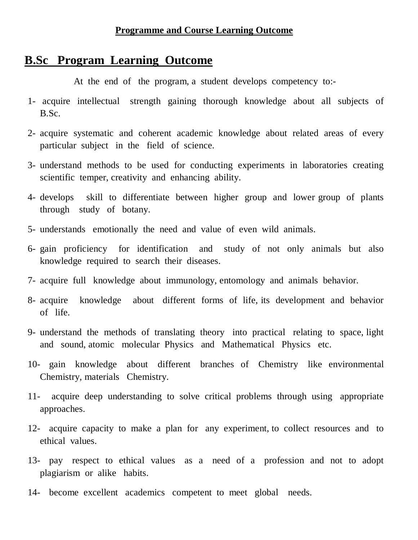## **B.Sc Program Learning Outcome**

At the end of the program, a student develops competency to:-

- 1- acquire intellectual strength gaining thorough knowledge about all subjects of B.Sc.
- 2- acquire systematic and coherent academic knowledge about related areas of every particular subject in the field of science.
- 3- understand methods to be used for conducting experiments in laboratories creating scientific temper, creativity and enhancing ability.
- 4- develops skill to differentiate between higher group and lower group of plants through study of botany.
- 5- understands emotionally the need and value of even wild animals.
- 6- gain proficiency for identification and study of not only animals but also knowledge required to search their diseases.
- 7- acquire full knowledge about immunology, entomology and animals behavior.
- 8- acquire knowledge about different forms of life, its development and behavior of life.
- 9- understand the methods of translating theory into practical relating to space, light and sound, atomic molecular Physics and Mathematical Physics etc.
- 10- gain knowledge about different branches of Chemistry like environmental Chemistry, materials Chemistry.
- 11- acquire deep understanding to solve critical problems through using appropriate approaches.
- 12- acquire capacity to make a plan for any experiment, to collect resources and to ethical values.
- 13- pay respect to ethical values as a need of a profession and not to adopt plagiarism or alike habits.
- 14- become excellent academics competent to meet global needs.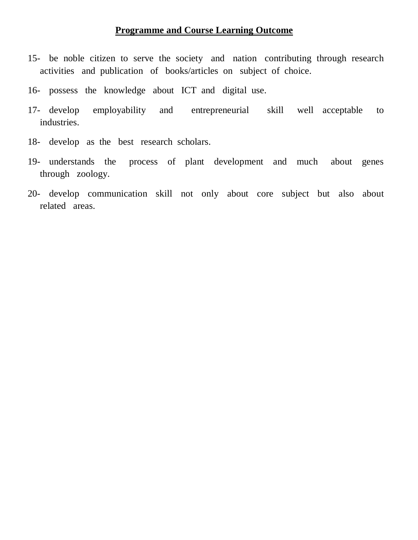- 15- be noble citizen to serve the society and nation contributing through research activities and publication of books/articles on subject of choice.
- 16- possess the knowledge about ICT and digital use.
- 17- develop employability and entrepreneurial skill well acceptable to industries.
- 18- develop as the best research scholars.
- 19- understands the process of plant development and much about genes through zoology.
- 20- develop communication skill not only about core subject but also about related areas.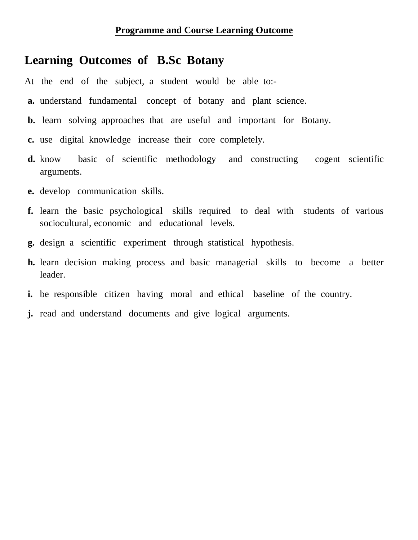#### **Learning Outcomes of B.Sc Botany**

At the end of the subject, a student would be able to:-

- **a.** understand fundamental concept of botany and plant science.
- **b.** learn solving approaches that are useful and important for Botany.
- **c.** use digital knowledge increase their core completely.
- **d.** know basic of scientific methodology and constructing cogent scientific arguments.
- **e.** develop communication skills.
- **f.** learn the basic psychological skills required to deal with students of various sociocultural, economic and educational levels.
- **g.** design a scientific experiment through statistical hypothesis.
- **h.** learn decision making process and basic managerial skills to become a better leader.
- **i.** be responsible citizen having moral and ethical baseline of the country.
- **j.** read and understand documents and give logical arguments.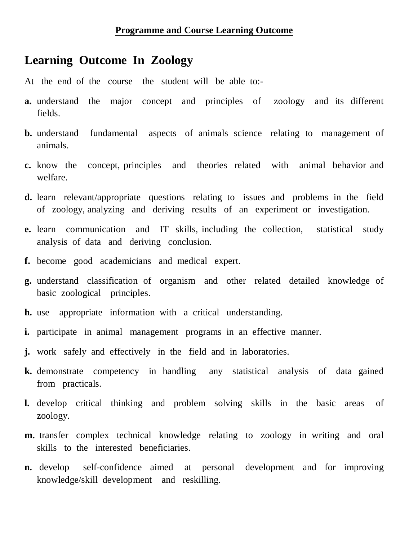## **Learning Outcome In Zoology**

- At the end of the course the student will be able to:-
- **a.** understand the major concept and principles of zoology and its different fields.
- **b.** understand fundamental aspects of animals science relating to management of animals.
- **c.** know the concept, principles and theories related with animal behavior and welfare.
- **d.** learn relevant/appropriate questions relating to issues and problems in the field of zoology, analyzing and deriving results of an experiment or investigation.
- **e.** learn communication and IT skills, including the collection, statistical study analysis of data and deriving conclusion.
- **f.** become good academicians and medical expert.
- **g.** understand classification of organism and other related detailed knowledge of basic zoological principles.
- **h.** use appropriate information with a critical understanding.
- **i.** participate in animal management programs in an effective manner.
- **j.** work safely and effectively in the field and in laboratories.
- **k.** demonstrate competency in handling any statistical analysis of data gained from practicals.
- **l.** develop critical thinking and problem solving skills in the basic areas of zoology.
- **m.** transfer complex technical knowledge relating to zoology in writing and oral skills to the interested beneficiaries.
- **n.** develop self-confidence aimed at personal development and for improving knowledge/skill development and reskilling.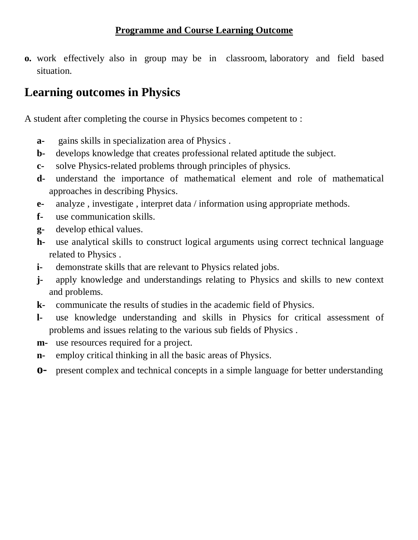**o.** work effectively also in group may be in classroom, laboratory and field based situation.

## **Learning outcomes in Physics**

A student after completing the course in Physics becomes competent to :

- **a-** gains skills in specialization area of Physics .
- **b-** develops knowledge that creates professional related aptitude the subject.
- **c-** solve Physics-related problems through principles of physics.
- **d-** understand the importance of mathematical element and role of mathematical approaches in describing Physics.
- **e-** analyze , investigate , interpret data / information using appropriate methods.
- **f-** use communication skills.
- **g-** develop ethical values.
- **h-** use analytical skills to construct logical arguments using correct technical language related to Physics .
- **i-** demonstrate skills that are relevant to Physics related jobs.
- **j-** apply knowledge and understandings relating to Physics and skills to new context and problems.
- **k-** communicate the results of studies in the academic field of Physics.
- **l-** use knowledge understanding and skills in Physics for critical assessment of problems and issues relating to the various sub fields of Physics .
- **m-** use resources required for a project.
- **n-** employ critical thinking in all the basic areas of Physics.
- **o-** present complex and technical concepts in a simple language for better understanding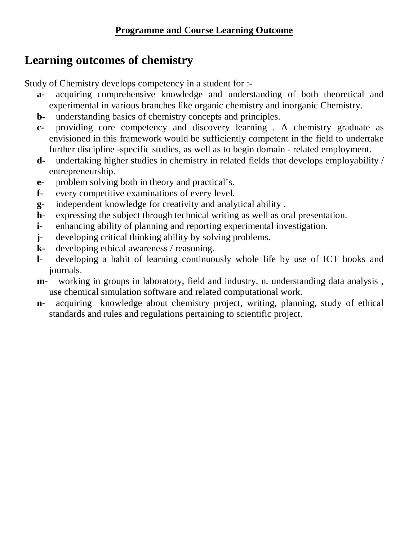# **Learning outcomes of chemistry**

Study of Chemistry develops competency in a student for :-

- **a-** acquiring comprehensive knowledge and understanding of both theoretical and experimental in various branches like organic chemistry and inorganic Chemistry.
- **b-** understanding basics of chemistry concepts and principles.
- **c-** providing core competency and discovery learning . A chemistry graduate as envisioned in this framework would be sufficiently competent in the field to undertake further discipline -specific studies, as well as to begin domain - related employment.
- **d-** undertaking higher studies in chemistry in related fields that develops employability / entrepreneurship.
- **e-** problem solving both in theory and practical's.
- **f-** every competitive examinations of every level.
- **g-** independent knowledge for creativity and analytical ability .
- **h-** expressing the subject through technical writing as well as oral presentation.
- **i-** enhancing ability of planning and reporting experimental investigation.
- **j-** developing critical thinking ability by solving problems.
- **k-** developing ethical awareness / reasoning.
- **l-** developing a habit of learning continuously whole life by use of ICT books and journals.
- **m-** working in groups in laboratory, field and industry. n. understanding data analysis , use chemical simulation software and related computational work.
- **n-** acquiring knowledge about chemistry project, writing, planning, study of ethical standards and rules and regulations pertaining to scientific project.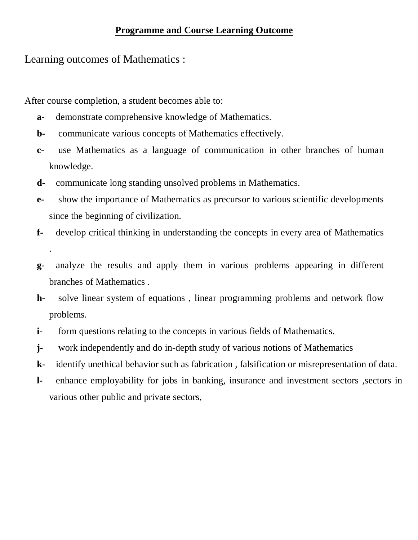Learning outcomes of Mathematics :

.

After course completion, a student becomes able to:

- **a-** demonstrate comprehensive knowledge of Mathematics.
- **b-** communicate various concepts of Mathematics effectively.
- **c-** use Mathematics as a language of communication in other branches of human knowledge.
- **d-** communicate long standing unsolved problems in Mathematics.
- **e-** show the importance of Mathematics as precursor to various scientific developments since the beginning of civilization.
- **f-** develop critical thinking in understanding the concepts in every area of Mathematics
- **g-** analyze the results and apply them in various problems appearing in different branches of Mathematics .
- **h-** solve linear system of equations , linear programming problems and network flow problems.
- **i-** form questions relating to the concepts in various fields of Mathematics.
- **j-** work independently and do in-depth study of various notions of Mathematics
- **k-** identify unethical behavior such as fabrication , falsification or misrepresentation of data.
- **l-** enhance employability for jobs in banking, insurance and investment sectors ,sectors in various other public and private sectors,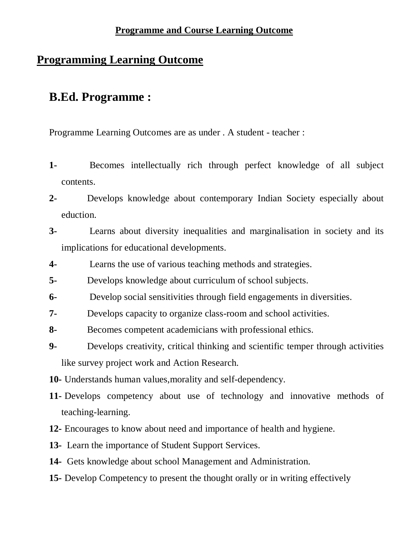### **Programming Learning Outcome**

## **B.Ed. Programme :**

Programme Learning Outcomes are as under . A student - teacher :

- **1-** Becomes intellectually rich through perfect knowledge of all subject contents.
- **2-** Develops knowledge about contemporary Indian Society especially about eduction.
- **3-** Learns about diversity inequalities and marginalisation in society and its implications for educational developments.
- **4-** Learns the use of various teaching methods and strategies.
- **5-** Develops knowledge about curriculum of school subjects.
- **6-** Develop social sensitivities through field engagements in diversities.
- **7-** Develops capacity to organize class-room and school activities.
- **8-** Becomes competent academicians with professional ethics.
- **9-** Develops creativity, critical thinking and scientific temper through activities like survey project work and Action Research.
- **10-** Understands human values,morality and self-dependency.
- **11-** Develops competency about use of technology and innovative methods of teaching-learning.
- **12-** Encourages to know about need and importance of health and hygiene.
- **13-** Learn the importance of Student Support Services.
- **14-** Gets knowledge about school Management and Administration.
- **15-** Develop Competency to present the thought orally or in writing effectively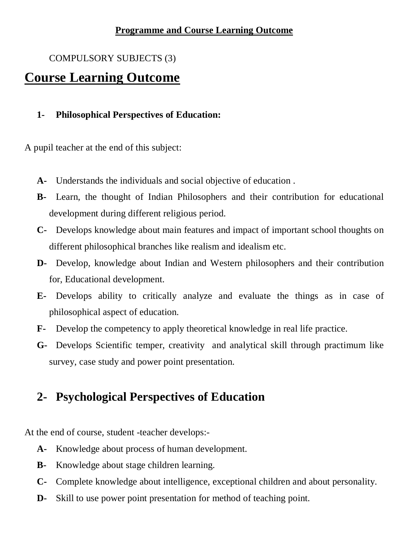#### COMPULSORY SUBJECTS (3)

# **Course Learning Outcome**

#### **1- Philosophical Perspectives of Education:**

A pupil teacher at the end of this subject:

- **A-** Understands the individuals and social objective of education .
- **B-** Learn, the thought of Indian Philosophers and their contribution for educational development during different religious period.
- **C-** Develops knowledge about main features and impact of important school thoughts on different philosophical branches like realism and idealism etc.
- **D-** Develop, knowledge about Indian and Western philosophers and their contribution for, Educational development.
- **E-** Develops ability to critically analyze and evaluate the things as in case of philosophical aspect of education.
- **F-** Develop the competency to apply theoretical knowledge in real life practice.
- **G-** Develops Scientific temper, creativity and analytical skill through practimum like survey, case study and power point presentation.

# **2- Psychological Perspectives of Education**

At the end of course, student -teacher develops:-

- **A-** Knowledge about process of human development.
- **B-** Knowledge about stage children learning.
- **C-** Complete knowledge about intelligence, exceptional children and about personality.
- **D-** Skill to use power point presentation for method of teaching point.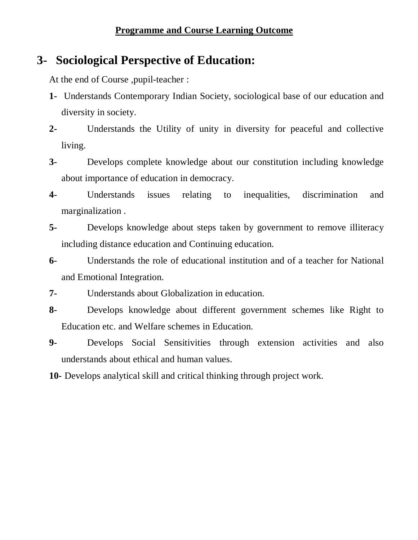# **3- Sociological Perspective of Education:**

At the end of Course ,pupil-teacher :

- **1-** Understands Contemporary Indian Society, sociological base of our education and diversity in society.
- **2-** Understands the Utility of unity in diversity for peaceful and collective living.
- **3-** Develops complete knowledge about our constitution including knowledge about importance of education in democracy.
- **4-** Understands issues relating to inequalities, discrimination and marginalization .
- **5-** Develops knowledge about steps taken by government to remove illiteracy including distance education and Continuing education.
- **6-** Understands the role of educational institution and of a teacher for National and Emotional Integration.
- **7-** Understands about Globalization in education.
- **8-** Develops knowledge about different government schemes like Right to Education etc. and Welfare schemes in Education.
- **9-** Develops Social Sensitivities through extension activities and also understands about ethical and human values.
- **10-** Develops analytical skill and critical thinking through project work.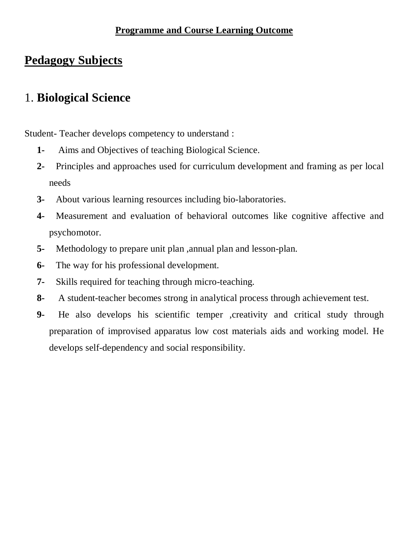## **Pedagogy Subjects**

## 1. **Biological Science**

Student- Teacher develops competency to understand :

- **1-** Aims and Objectives of teaching Biological Science.
- **2-** Principles and approaches used for curriculum development and framing as per local needs
- **3-** About various learning resources including bio-laboratories.
- **4-** Measurement and evaluation of behavioral outcomes like cognitive affective and psychomotor.
- **5-** Methodology to prepare unit plan ,annual plan and lesson-plan.
- **6-** The way for his professional development.
- **7-** Skills required for teaching through micro-teaching.
- **8-** A student-teacher becomes strong in analytical process through achievement test.
- **9-** He also develops his scientific temper ,creativity and critical study through preparation of improvised apparatus low cost materials aids and working model. He develops self-dependency and social responsibility.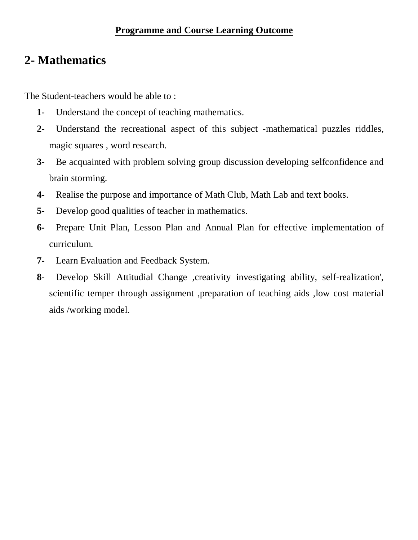## **2- Mathematics**

The Student-teachers would be able to :

- **1-** Understand the concept of teaching mathematics.
- **2-** Understand the recreational aspect of this subject -mathematical puzzles riddles, magic squares , word research.
- **3-** Be acquainted with problem solving group discussion developing selfconfidence and brain storming.
- **4-** Realise the purpose and importance of Math Club, Math Lab and text books.
- **5-** Develop good qualities of teacher in mathematics.
- **6-** Prepare Unit Plan, Lesson Plan and Annual Plan for effective implementation of curriculum.
- **7-** Learn Evaluation and Feedback System.
- **8-** Develop Skill Attitudial Change ,creativity investigating ability, self-realization', scientific temper through assignment ,preparation of teaching aids ,low cost material aids /working model.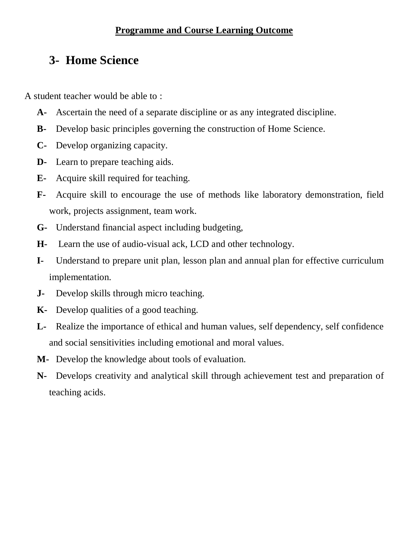## **3- Home Science**

A student teacher would be able to :

- **A-** Ascertain the need of a separate discipline or as any integrated discipline.
- **B-** Develop basic principles governing the construction of Home Science.
- **C-** Develop organizing capacity.
- **D-** Learn to prepare teaching aids.
- **E-** Acquire skill required for teaching.
- **F-** Acquire skill to encourage the use of methods like laboratory demonstration, field work, projects assignment, team work.
- **G-** Understand financial aspect including budgeting,
- **H-** Learn the use of audio-visual ack, LCD and other technology.
- **I-** Understand to prepare unit plan, lesson plan and annual plan for effective curriculum implementation.
- **J-** Develop skills through micro teaching.
- **K-** Develop qualities of a good teaching.
- **L-** Realize the importance of ethical and human values, self dependency, self confidence and social sensitivities including emotional and moral values.
- **M-** Develop the knowledge about tools of evaluation.
- **N-** Develops creativity and analytical skill through achievement test and preparation of teaching acids.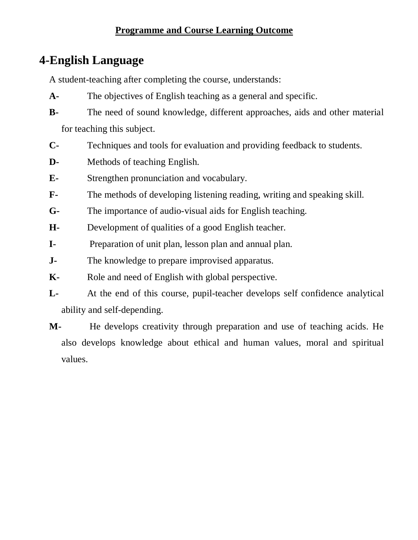## **4-English Language**

A student-teaching after completing the course, understands:

- **A-** The objectives of English teaching as a general and specific.
- **B-** The need of sound knowledge, different approaches, aids and other material for teaching this subject.
- **C-** Techniques and tools for evaluation and providing feedback to students.
- **D-** Methods of teaching English.
- **E-** Strengthen pronunciation and vocabulary.
- **F-** The methods of developing listening reading, writing and speaking skill.
- **G-** The importance of audio-visual aids for English teaching.
- **H-** Development of qualities of a good English teacher.
- **I-** Preparation of unit plan, lesson plan and annual plan.
- **J-** The knowledge to prepare improvised apparatus.
- **K-** Role and need of English with global perspective.
- **L-** At the end of this course, pupil-teacher develops self confidence analytical ability and self-depending.
- **M-** He develops creativity through preparation and use of teaching acids. He also develops knowledge about ethical and human values, moral and spiritual values.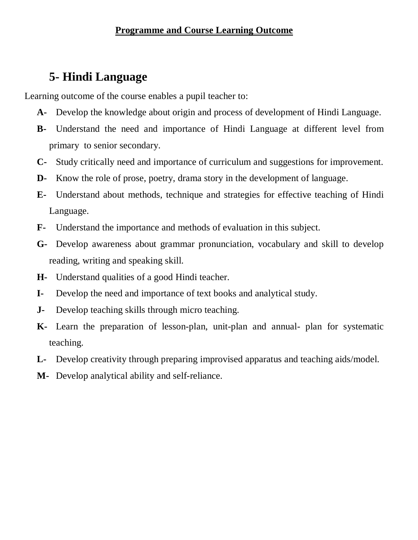# **5- Hindi Language**

Learning outcome of the course enables a pupil teacher to:

- **A-** Develop the knowledge about origin and process of development of Hindi Language.
- **B-** Understand the need and importance of Hindi Language at different level from primary to senior secondary.
- **C-** Study critically need and importance of curriculum and suggestions for improvement.
- **D-** Know the role of prose, poetry, drama story in the development of language.
- **E-** Understand about methods, technique and strategies for effective teaching of Hindi Language.
- **F-** Understand the importance and methods of evaluation in this subject.
- **G-** Develop awareness about grammar pronunciation, vocabulary and skill to develop reading, writing and speaking skill.
- **H-** Understand qualities of a good Hindi teacher.
- **I-** Develop the need and importance of text books and analytical study.
- **J-** Develop teaching skills through micro teaching.
- **K-** Learn the preparation of lesson-plan, unit-plan and annual- plan for systematic teaching.
- **L-** Develop creativity through preparing improvised apparatus and teaching aids/model.
- **M-** Develop analytical ability and self-reliance.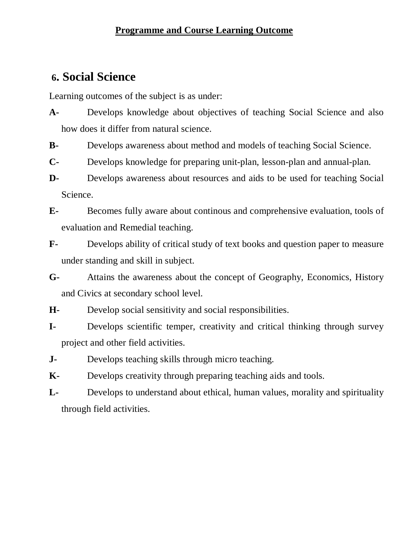### **6. Social Science**

Learning outcomes of the subject is as under:

- **A-** Develops knowledge about objectives of teaching Social Science and also how does it differ from natural science.
- **B-** Develops awareness about method and models of teaching Social Science.
- **C-** Develops knowledge for preparing unit-plan, lesson-plan and annual-plan.
- **D-** Develops awareness about resources and aids to be used for teaching Social Science.
- **E-** Becomes fully aware about continous and comprehensive evaluation, tools of evaluation and Remedial teaching.
- **F-** Develops ability of critical study of text books and question paper to measure under standing and skill in subject.
- **G-** Attains the awareness about the concept of Geography, Economics, History and Civics at secondary school level.
- **H-** Develop social sensitivity and social responsibilities.
- **I-** Develops scientific temper, creativity and critical thinking through survey project and other field activities.
- **J-** Develops teaching skills through micro teaching.
- **K-** Develops creativity through preparing teaching aids and tools.
- **L-** Develops to understand about ethical, human values, morality and spirituality through field activities.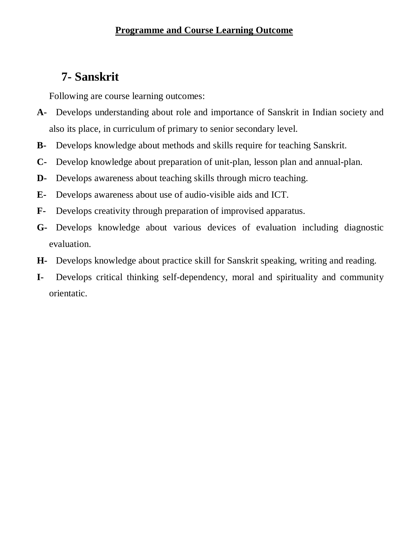# **7- Sanskrit**

Following are course learning outcomes:

- **A-** Develops understanding about role and importance of Sanskrit in Indian society and also its place, in curriculum of primary to senior secondary level.
- **B-** Develops knowledge about methods and skills require for teaching Sanskrit.
- **C-** Develop knowledge about preparation of unit-plan, lesson plan and annual-plan.
- **D-** Develops awareness about teaching skills through micro teaching.
- **E-** Develops awareness about use of audio-visible aids and ICT.
- **F-** Develops creativity through preparation of improvised apparatus.
- **G-** Develops knowledge about various devices of evaluation including diagnostic evaluation.
- **H-** Develops knowledge about practice skill for Sanskrit speaking, writing and reading.
- **I-** Develops critical thinking self-dependency, moral and spirituality and community orientatic.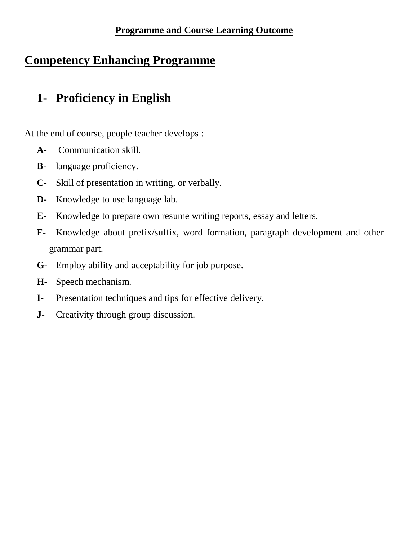# **Competency Enhancing Programme**

# **1- Proficiency in English**

At the end of course, people teacher develops :

- **A-** Communication skill.
- **B-** language proficiency.
- **C-** Skill of presentation in writing, or verbally.
- **D-** Knowledge to use language lab.
- **E-** Knowledge to prepare own resume writing reports, essay and letters.
- **F-** Knowledge about prefix/suffix, word formation, paragraph development and other grammar part.
- **G-** Employ ability and acceptability for job purpose.
- **H-** Speech mechanism.
- **I-** Presentation techniques and tips for effective delivery.
- **J-** Creativity through group discussion.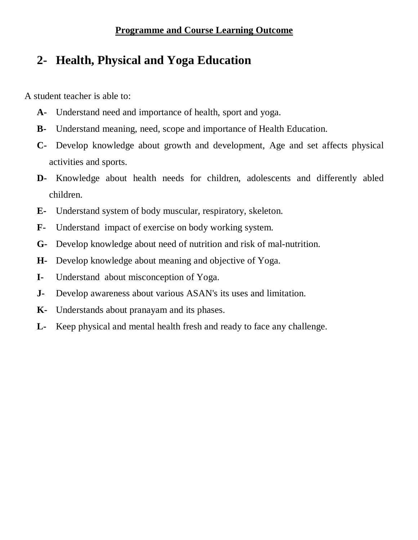# **2- Health, Physical and Yoga Education**

A student teacher is able to:

- **A-** Understand need and importance of health, sport and yoga.
- **B-** Understand meaning, need, scope and importance of Health Education.
- **C-** Develop knowledge about growth and development, Age and set affects physical activities and sports.
- **D-** Knowledge about health needs for children, adolescents and differently abled children.
- **E-** Understand system of body muscular, respiratory, skeleton.
- **F-** Understand impact of exercise on body working system.
- **G-** Develop knowledge about need of nutrition and risk of mal-nutrition.
- **H-** Develop knowledge about meaning and objective of Yoga.
- **I-** Understand about misconception of Yoga.
- **J-** Develop awareness about various ASAN's its uses and limitation.
- **K-** Understands about pranayam and its phases.
- **L-** Keep physical and mental health fresh and ready to face any challenge.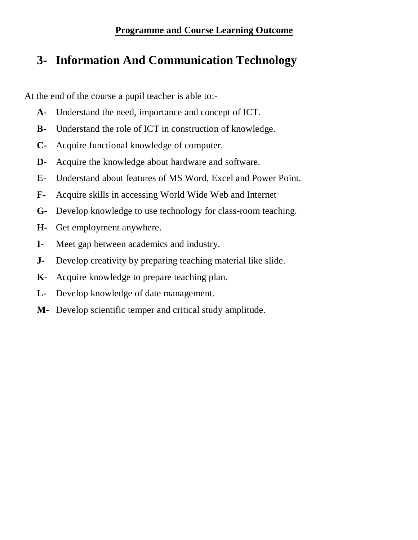# **3- Information And Communication Technology**

At the end of the course a pupil teacher is able to:-

- **A-** Understand the need, importance and concept of ICT.
- **B-** Understand the role of ICT in construction of knowledge.
- **C-** Acquire functional knowledge of computer.
- **D-** Acquire the knowledge about hardware and software.
- **E-** Understand about features of MS Word, Excel and Power Point.
- **F-** Acquire skills in accessing World Wide Web and Internet
- **G-** Develop knowledge to use technology for class-room teaching.
- **H-** Get employment anywhere.
- **I-** Meet gap between academics and industry.
- **J-** Develop creativity by preparing teaching material like slide.
- **K-** Acquire knowledge to prepare teaching plan.
- **L-** Develop knowledge of date management.
- **M-** Develop scientific temper and critical study amplitude.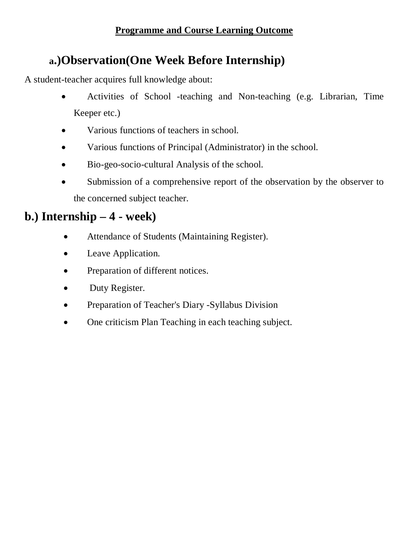# **a.)Observation(One Week Before Internship)**

A student-teacher acquires full knowledge about:

- Activities of School -teaching and Non-teaching (e.g. Librarian, Time Keeper etc.)
- Various functions of teachers in school.
- Various functions of Principal (Administrator) in the school.
- Bio-geo-socio-cultural Analysis of the school.
- Submission of a comprehensive report of the observation by the observer to the concerned subject teacher.

## **b.) Internship – 4 - week)**

- Attendance of Students (Maintaining Register).
- Leave Application.
- Preparation of different notices.
- Duty Register.
- Preparation of Teacher's Diary -Syllabus Division
- One criticism Plan Teaching in each teaching subject.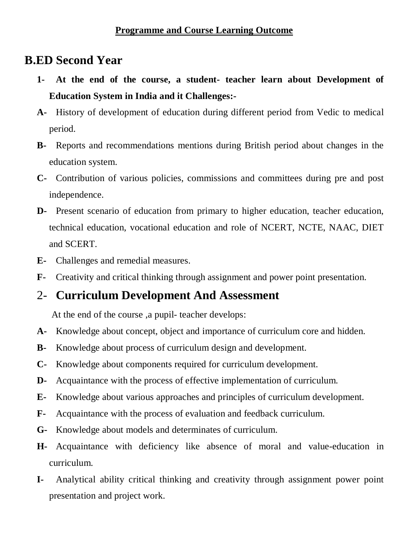## **B.ED Second Year**

- **1- At the end of the course, a student- teacher learn about Development of Education System in India and it Challenges:-**
- **A-** History of development of education during different period from Vedic to medical period.
- **B-** Reports and recommendations mentions during British period about changes in the education system.
- **C-** Contribution of various policies, commissions and committees during pre and post independence.
- **D-** Present scenario of education from primary to higher education, teacher education, technical education, vocational education and role of NCERT, NCTE, NAAC, DIET and SCERT.
- **E-** Challenges and remedial measures.
- **F-** Creativity and critical thinking through assignment and power point presentation.

### 2- **Curriculum Development And Assessment**

At the end of the course ,a pupil- teacher develops:

- **A-** Knowledge about concept, object and importance of curriculum core and hidden.
- **B-** Knowledge about process of curriculum design and development.
- **C-** Knowledge about components required for curriculum development.
- **D-** Acquaintance with the process of effective implementation of curriculum.
- **E-** Knowledge about various approaches and principles of curriculum development.
- **F-** Acquaintance with the process of evaluation and feedback curriculum.
- **G-** Knowledge about models and determinates of curriculum.
- **H-** Acquaintance with deficiency like absence of moral and value-education in curriculum.
- **I-** Analytical ability critical thinking and creativity through assignment power point presentation and project work.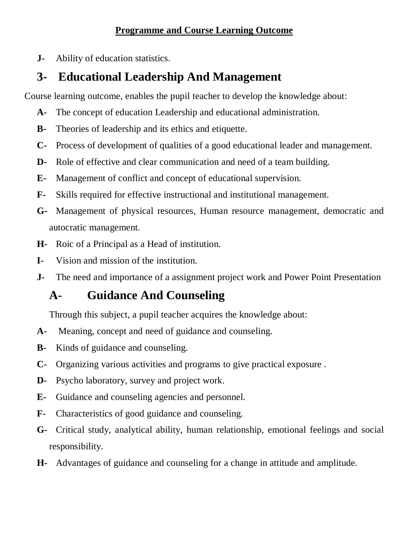**J-** Ability of education statistics.

# **3- Educational Leadership And Management**

Course learning outcome, enables the pupil teacher to develop the knowledge about:

- **A-** The concept of education Leadership and educational administration.
- **B-** Theories of leadership and its ethics and etiquette.
- **C-** Process of development of qualities of a good educational leader and management.
- **D-** Role of effective and clear communication and need of a team building.
- **E-** Management of conflict and concept of educational supervision.
- **F-** Skills required for effective instructional and institutional management.
- **G-** Management of physical resources, Human resource management, democratic and autocratic management.
- **H-** Roic of a Principal as a Head of institution.
- **I-** Vision and mission of the institution.
- **J-** The need and importance of a assignment project work and Power Point Presentation

# **A- Guidance And Counseling**

Through this subject, a pupil teacher acquires the knowledge about:

- **A-** Meaning, concept and need of guidance and counseling.
- **B-** Kinds of guidance and counseling.
- **C-** Organizing various activities and programs to give practical exposure .
- **D-** Psycho laboratory, survey and project work.
- **E-** Guidance and counseling agencies and personnel.
- **F-** Characteristics of good guidance and counseling.
- **G-** Critical study, analytical ability, human relationship, emotional feelings and social responsibility.
- **H-** Advantages of guidance and counseling for a change in attitude and amplitude.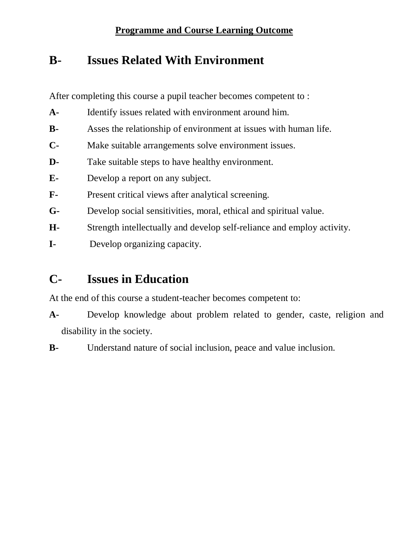# **B- Issues Related With Environment**

After completing this course a pupil teacher becomes competent to :

- **A-** Identify issues related with environment around him.
- **B-** Asses the relationship of environment at issues with human life.
- **C-** Make suitable arrangements solve environment issues.
- **D-** Take suitable steps to have healthy environment.
- **E-** Develop a report on any subject.
- **F-** Present critical views after analytical screening.
- **G-** Develop social sensitivities, moral, ethical and spiritual value.
- **H-** Strength intellectually and develop self-reliance and employ activity.
- **I-** Develop organizing capacity.

# **C- Issues in Education**

At the end of this course a student-teacher becomes competent to:

- **A-** Develop knowledge about problem related to gender, caste, religion and disability in the society.
- **B-** Understand nature of social inclusion, peace and value inclusion.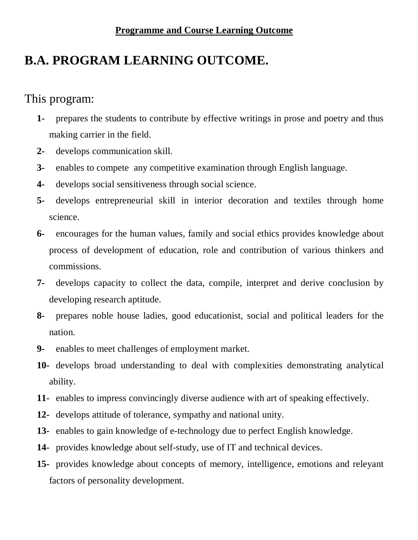# **B.A. PROGRAM LEARNING OUTCOME.**

## This program:

- **1-** prepares the students to contribute by effective writings in prose and poetry and thus making carrier in the field.
- **2-** develops communication skill.
- **3-** enables to compete any competitive examination through English language.
- **4-** develops social sensitiveness through social science.
- **5-** develops entrepreneurial skill in interior decoration and textiles through home science.
- **6-** encourages for the human values, family and social ethics provides knowledge about process of development of education, role and contribution of various thinkers and commissions.
- **7-** develops capacity to collect the data, compile, interpret and derive conclusion by developing research aptitude.
- **8-** prepares noble house ladies, good educationist, social and political leaders for the nation.
- **9-** enables to meet challenges of employment market.
- **10-** develops broad understanding to deal with complexities demonstrating analytical ability.
- **11-** enables to impress convincingly diverse audience with art of speaking effectively.
- **12-** develops attitude of tolerance, sympathy and national unity.
- **13-** enables to gain knowledge of e-technology due to perfect English knowledge.
- **14-** provides knowledge about self-study, use of IT and technical devices.
- **15-** provides knowledge about concepts of memory, intelligence, emotions and releyant factors of personality development.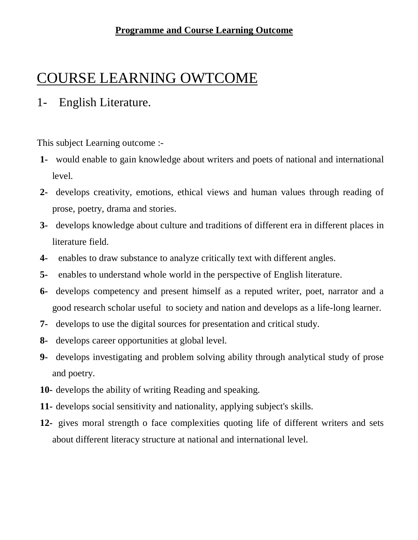# COURSE LEARNING OWTCOME

### 1- English Literature.

This subject Learning outcome :-

- **1-** would enable to gain knowledge about writers and poets of national and international level.
- **2-** develops creativity, emotions, ethical views and human values through reading of prose, poetry, drama and stories.
- **3-** develops knowledge about culture and traditions of different era in different places in literature field.
- **4-** enables to draw substance to analyze critically text with different angles.
- **5-** enables to understand whole world in the perspective of English literature.
- **6-** develops competency and present himself as a reputed writer, poet, narrator and a good research scholar useful to society and nation and develops as a life-long learner.
- **7-** develops to use the digital sources for presentation and critical study.
- **8-** develops career opportunities at global level.
- **9-** develops investigating and problem solving ability through analytical study of prose and poetry.
- **10-** develops the ability of writing Reading and speaking.
- **11-** develops social sensitivity and nationality, applying subject's skills.
- **12-** gives moral strength o face complexities quoting life of different writers and sets about different literacy structure at national and international level.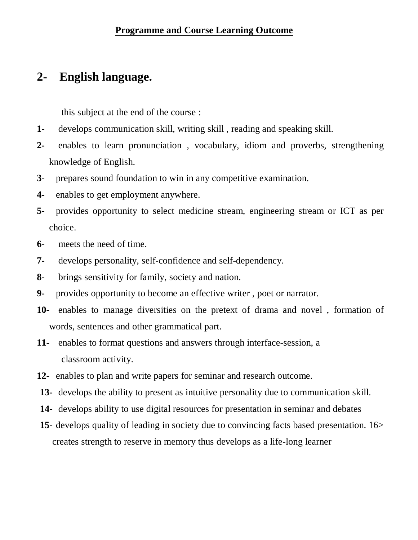## **2- English language.**

this subject at the end of the course :

- **1-** develops communication skill, writing skill , reading and speaking skill.
- **2-** enables to learn pronunciation , vocabulary, idiom and proverbs, strengthening knowledge of English.
- **3-** prepares sound foundation to win in any competitive examination.
- **4-** enables to get employment anywhere.
- **5-** provides opportunity to select medicine stream, engineering stream or ICT as per choice.
- **6-** meets the need of time.
- **7-** develops personality, self-confidence and self-dependency.
- **8-** brings sensitivity for family, society and nation.
- **9-** provides opportunity to become an effective writer , poet or narrator.
- **10-** enables to manage diversities on the pretext of drama and novel , formation of words, sentences and other grammatical part.
- **11-** enables to format questions and answers through interface-session, a classroom activity.
- **12-** enables to plan and write papers for seminar and research outcome.
- **13-** develops the ability to present as intuitive personality due to communication skill.
- **14-** develops ability to use digital resources for presentation in seminar and debates
- **15-** develops quality of leading in society due to convincing facts based presentation. 16> creates strength to reserve in memory thus develops as a life-long learner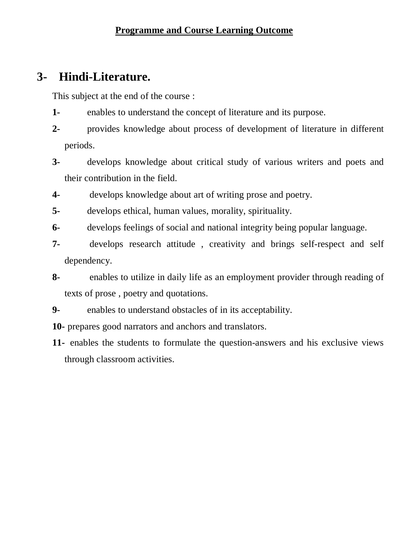## **3- Hindi-Literature.**

This subject at the end of the course :

- **1-** enables to understand the concept of literature and its purpose.
- **2-** provides knowledge about process of development of literature in different periods.
- **3-** develops knowledge about critical study of various writers and poets and their contribution in the field.
- **4-** develops knowledge about art of writing prose and poetry.
- **5-** develops ethical, human values, morality, spirituality.
- **6-** develops feelings of social and national integrity being popular language.
- **7-** develops research attitude , creativity and brings self-respect and self dependency.
- **8-** enables to utilize in daily life as an employment provider through reading of texts of prose , poetry and quotations.
- **9-** enables to understand obstacles of in its acceptability.
- **10-** prepares good narrators and anchors and translators.
- **11-** enables the students to formulate the question-answers and his exclusive views through classroom activities.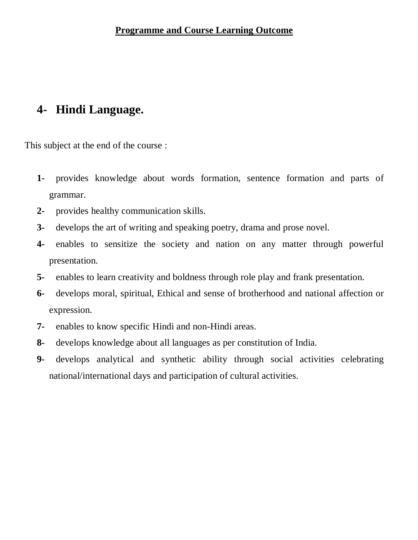# **4- Hindi Language.**

This subject at the end of the course :

- **1-** provides knowledge about words formation, sentence formation and parts of grammar.
- **2-** provides healthy communication skills.
- **3-** develops the art of writing and speaking poetry, drama and prose novel.
- **4-** enables to sensitize the society and nation on any matter through powerful presentation.
- **5-** enables to learn creativity and boldness through role play and frank presentation.
- **6-** develops moral, spiritual, Ethical and sense of brotherhood and national affection or expression.
- **7-** enables to know specific Hindi and non-Hindi areas.
- **8-** develops knowledge about all languages as per constitution of India.
- **9-** develops analytical and synthetic ability through social activities celebrating national/international days and participation of cultural activities.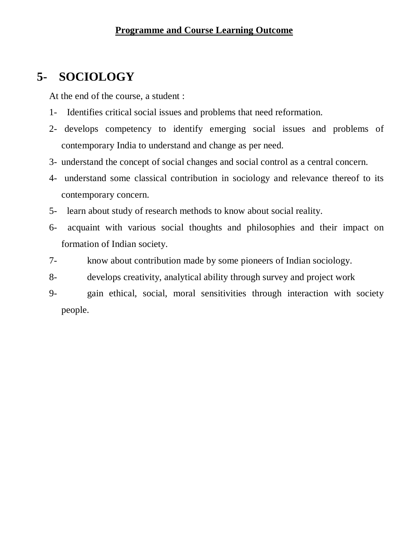# **5- SOCIOLOGY**

At the end of the course, a student :

- 1- Identifies critical social issues and problems that need reformation.
- 2- develops competency to identify emerging social issues and problems of contemporary India to understand and change as per need.
- 3- understand the concept of social changes and social control as a central concern.
- 4- understand some classical contribution in sociology and relevance thereof to its contemporary concern.
- 5- learn about study of research methods to know about social reality.
- 6- acquaint with various social thoughts and philosophies and their impact on formation of Indian society.
- 7- know about contribution made by some pioneers of Indian sociology.
- 8- develops creativity, analytical ability through survey and project work
- 9- gain ethical, social, moral sensitivities through interaction with society people.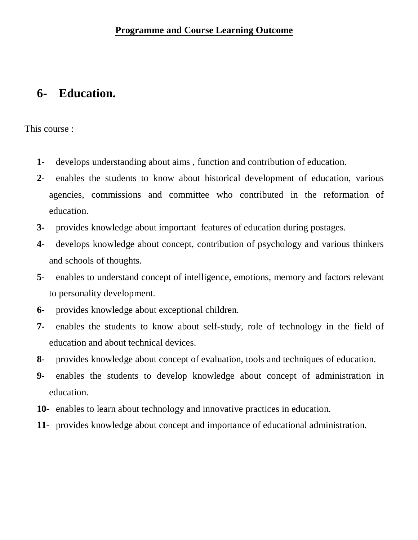## **6- Education.**

This course :

- **1-** develops understanding about aims , function and contribution of education.
- **2-** enables the students to know about historical development of education, various agencies, commissions and committee who contributed in the reformation of education.
- **3-** provides knowledge about important features of education during postages.
- **4-** develops knowledge about concept, contribution of psychology and various thinkers and schools of thoughts.
- **5-** enables to understand concept of intelligence, emotions, memory and factors relevant to personality development.
- **6-** provides knowledge about exceptional children.
- **7-** enables the students to know about self-study, role of technology in the field of education and about technical devices.
- **8-** provides knowledge about concept of evaluation, tools and techniques of education.
- **9-** enables the students to develop knowledge about concept of administration in education.
- **10-** enables to learn about technology and innovative practices in education.
- **11-** provides knowledge about concept and importance of educational administration.